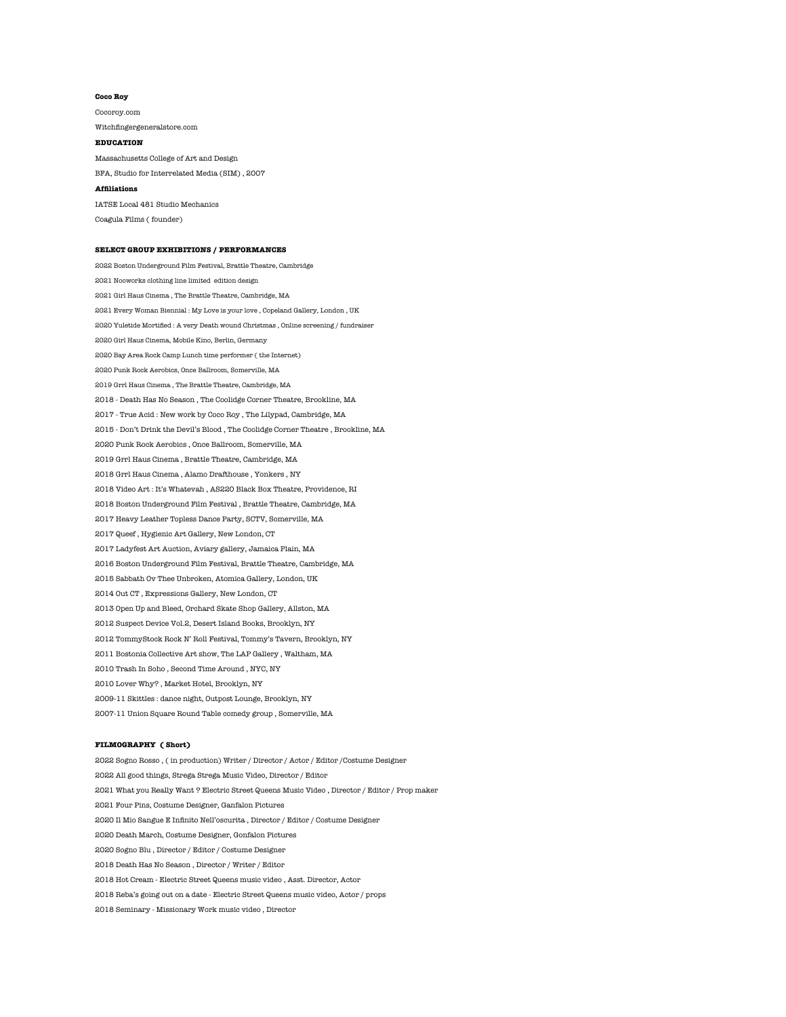## **Coco Roy**

Cocoroy.com Witchfingergeneralstore.com

### **EDUCATION**

Massachusetts College of Art and Design

BFA, Studio for Interrelated Media (SIM) , 2007

# **Affiliations**

IATSE Local 481 Studio Mechanics Coagula Films ( founder)

#### **SELECT GROUP EXHIBITIONS / PERFORMANCES**

2022 Boston Underground Film Festival, Brattle Theatre, Cambridge 2021 Nooworks clothing line limited edition design 2021 Girl Haus Cinema , The Brattle Theatre, Cambridge, MA 2021 Every Woman Biennial : My Love is your love , Copeland Gallery, London , UK 2020 Yuletide Mortified : A very Death wound Christmas , Online screening / fundraiser 2020 Girl Haus Cinema, Mobile Kino, Berlin, Germany 2020 Bay Area Rock Camp Lunch time performer ( the Internet) 2020 Punk Rock Aerobics, Once Ballroom, Somerville, MA 2019 Grrl Haus Cinema , The Brattle Theatre, Cambridge, MA 2018 - Death Has No Season , The Coolidge Corner Theatre, Brookline, MA 2017 - True Acid : New work by Coco Roy , The Lilypad, Cambridge, MA 2015 - Don't Drink the Devil's Blood , The Coolidge Corner Theatre , Brookline, MA 2020 Punk Rock Aerobics , Once Ballroom, Somerville, MA 2019 Grrl Haus Cinema , Brattle Theatre, Cambridge, MA 2018 Grrl Haus Cinema , Alamo Drafthouse , Yonkers , NY 2018 Video Art : It's Whatevah , AS220 Black Box Theatre, Providence, RI 2018 Boston Underground Film Festival , Brattle Theatre, Cambridge, MA 2017 Heavy Leather Topless Dance Party, SCTV, Somerville, MA 2017 Queef , Hygienic Art Gallery, New London, CT 2017 Ladyfest Art Auction, Aviary gallery, Jamaica Plain, MA 2016 Boston Underground Film Festival, Brattle Theatre, Cambridge, MA 2015 Sabbath Ov Thee Unbroken, Atomica Gallery, London, UK 2014 Out CT , Expressions Gallery, New London, CT 2013 Open Up and Bleed, Orchard Skate Shop Gallery, Allston, MA 2012 Suspect Device Vol.2, Desert Island Books, Brooklyn, NY 2012 TommyStock Rock N' Roll Festival, Tommy's Tavern, Brooklyn, NY 2011 Bostonia Collective Art show, The LAP Gallery , Waltham, MA 2010 Trash In Soho , Second Time Around , NYC, NY 2010 Lover Why? , Market Hotel, Brooklyn, NY 2009-11 Skittles : dance night, Outpost Lounge, Brooklyn, NY 2007-11 Union Square Round Table comedy group , Somerville, MA

#### **FILMOGRAPHY ( Short)**

2022 Sogno Rosso , ( in production) Writer / Director / Actor / Editor /Costume Designer 2022 All good things, Strega Strega Music Video, Director / Editor 2021 What you Really Want ? Electric Street Queens Music Video , Director / Editor / Prop maker 2021 Four Pins, Costume Designer, Ganfalon Pictures 2020 Il Mio Sangue E Infinito Nell'oscurita , Director / Editor / Costume Designer 2020 Death March, Costume Designer, Gonfalon Pictures 2020 Sogno Blu , Director / Editor / Costume Designer 2018 Death Has No Season , Director / Writer / Editor 2018 Hot Cream - Electric Street Queens music video , Asst. Director, Actor 2018 Reba's going out on a date - Electric Street Queens music video, Actor / props 2018 Seminary - Missionary Work music video , Director